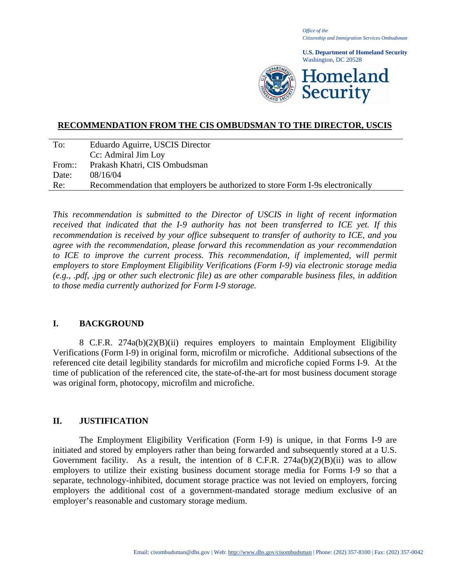*Office of the Citizenship and Immigration Services Ombudsman*

**U.S. Department of Homeland Security** Washington, DC 20528



## **RECOMMENDATION FROM THE CIS OMBUDSMAN TO THE DIRECTOR, USCIS**

| To:    | Eduardo Aguirre, USCIS Director                                               |
|--------|-------------------------------------------------------------------------------|
|        | Cc: Admiral Jim Loy                                                           |
| From:: | Prakash Khatri, CIS Ombudsman                                                 |
| Date:  | 08/16/04                                                                      |
| Re:    | Recommendation that employers be authorized to store Form I-9s electronically |

*This recommendation is submitted to the Director of USCIS in light of recent information received that indicated that the I-9 authority has not been transferred to ICE yet. If this recommendation is received by your office subsequent to transfer of authority to ICE, and you agree with the recommendation, please forward this recommendation as your recommendation*  to ICE to improve the current process. This recommendation, if implemented, will permit *employers to store Employment Eligibility Verifications (Form I-9) via electronic storage media (e.g., .pdf, .jpg or other such electronic file) as are other comparable business files, in addition to those media currently authorized for Form I-9 storage.* 

## **I. BACKGROUND**

8 C.F.R. 274a(b)(2)(B)(ii) requires employers to maintain Employment Eligibility Verifications (Form I-9) in original form, microfilm or microfiche. Additional subsections of the referenced cite detail legibility standards for microfilm and microfiche copied Forms I-9. At the time of publication of the referenced cite, the state-of-the-art for most business document storage was original form, photocopy, microfilm and microfiche.

## **II. JUSTIFICATION**

The Employment Eligibility Verification (Form I-9) is unique, in that Forms I-9 are initiated and stored by employers rather than being forwarded and subsequently stored at a U.S. Government facility. As a result, the intention of 8 C.F.R.  $274a(b)(2)(B)(ii)$  was to allow employers to utilize their existing business document storage media for Forms I-9 so that a separate, technology-inhibited, document storage practice was not levied on employers, forcing employers the additional cost of a government-mandated storage medium exclusive of an employer's reasonable and customary storage medium.